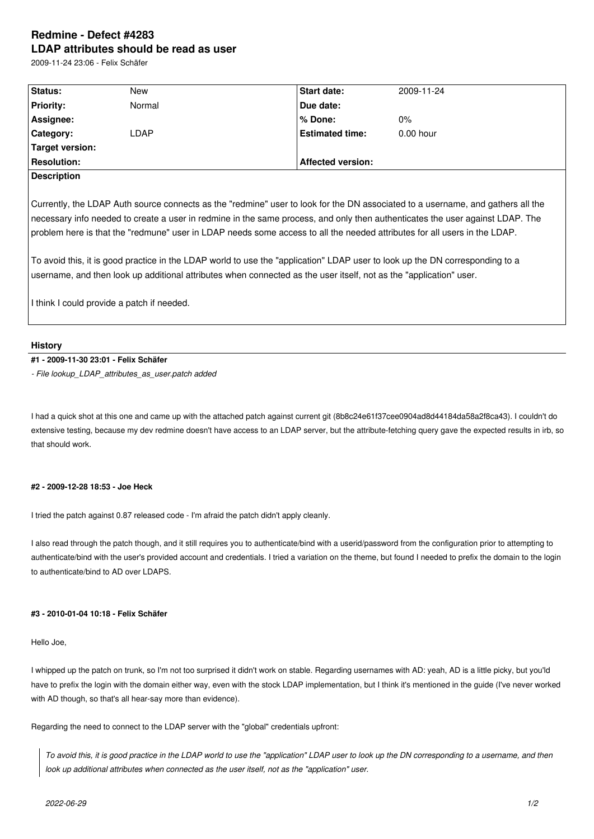# **Redmine - Defect #4283 LDAP attributes should be read as user**

2009-11-24 23:06 - Felix Schäfer

| Status:            | New    | <b>Start date:</b>       | 2009-11-24  |
|--------------------|--------|--------------------------|-------------|
| <b>Priority:</b>   | Normal | Due date:                |             |
| Assignee:          |        | l % Done:                | $0\%$       |
| <b>Category:</b>   | LDAP   | <b>Estimated time:</b>   | $0.00$ hour |
| Target version:    |        |                          |             |
| <b>Resolution:</b> |        | <b>Affected version:</b> |             |
| <b>Description</b> |        |                          |             |
|                    |        |                          |             |

Currently, the LDAP Auth source connects as the "redmine" user to look for the DN associated to a username, and gathers all the necessary info needed to create a user in redmine in the same process, and only then authenticates the user against LDAP. The problem here is that the "redmune" user in LDAP needs some access to all the needed attributes for all users in the LDAP.

To avoid this, it is good practice in the LDAP world to use the "application" LDAP user to look up the DN corresponding to a username, and then look up additional attributes when connected as the user itself, not as the "application" user.

I think I could provide a patch if needed.

#### **History**

### **#1 - 2009-11-30 23:01 - Felix Schäfer**

*- File lookup\_LDAP\_attributes\_as\_user.patch added*

I had a quick shot at this one and came up with the attached patch against current git (8b8c24e61f37cee0904ad8d44184da58a2f8ca43). I couldn't do extensive testing, because my dev redmine doesn't have access to an LDAP server, but the attribute-fetching query gave the expected results in irb, so that should work.

#### **#2 - 2009-12-28 18:53 - Joe Heck**

I tried the patch against 0.87 released code - I'm afraid the patch didn't apply cleanly.

I also read through the patch though, and it still requires you to authenticate/bind with a userid/password from the configuration prior to attempting to authenticate/bind with the user's provided account and credentials. I tried a variation on the theme, but found I needed to prefix the domain to the login to authenticate/bind to AD over LDAPS.

#### **#3 - 2010-01-04 10:18 - Felix Schäfer**

Hello Joe,

I whipped up the patch on trunk, so I'm not too surprised it didn't work on stable. Regarding usernames with AD: yeah, AD is a little picky, but you'ld have to prefix the login with the domain either way, even with the stock LDAP implementation, but I think it's mentioned in the guide (I've never worked with AD though, so that's all hear-say more than evidence).

Regarding the need to connect to the LDAP server with the "global" credentials upfront:

*To avoid this, it is good practice in the LDAP world to use the "application" LDAP user to look up the DN corresponding to a username, and then look up additional attributes when connected as the user itself, not as the "application" user.*